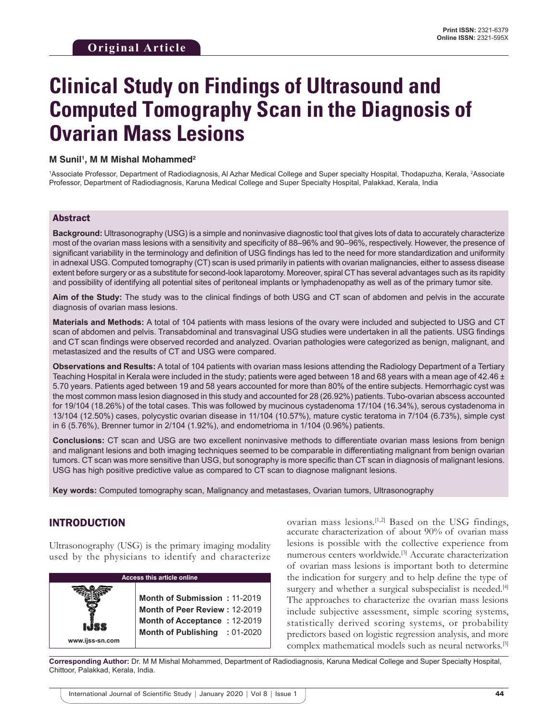# **Clinical Study on Findings of Ultrasound and Computed Tomography Scan in the Diagnosis of Ovarian Mass Lesions**

#### **M Sunil1 , M M Mishal Mohammed2**

<sup>1</sup>Associate Professor, Department of Radiodiagnosis, Al Azhar Medical College and Super specialty Hospital, Thodapuzha, Kerala, <sup>2</sup>Associate Professor, Department of Radiodiagnosis, Karuna Medical College and Super Specialty Hospital, Palakkad, Kerala, India

#### Abstract

**Background:** Ultrasonography (USG) is a simple and noninvasive diagnostic tool that gives lots of data to accurately characterize most of the ovarian mass lesions with a sensitivity and specificity of 88–96% and 90–96%, respectively. However, the presence of significant variability in the terminology and definition of USG findings has led to the need for more standardization and uniformity in adnexal USG. Computed tomography (CT) scan is used primarily in patients with ovarian malignancies, either to assess disease extent before surgery or as a substitute for second-look laparotomy. Moreover, spiral CT has several advantages such as its rapidity and possibility of identifying all potential sites of peritoneal implants or lymphadenopathy as well as of the primary tumor site.

**Aim of the Study:** The study was to the clinical findings of both USG and CT scan of abdomen and pelvis in the accurate diagnosis of ovarian mass lesions.

**Materials and Methods:** A total of 104 patients with mass lesions of the ovary were included and subjected to USG and CT scan of abdomen and pelvis. Transabdominal and transvaginal USG studies were undertaken in all the patients. USG findings and CT scan findings were observed recorded and analyzed. Ovarian pathologies were categorized as benign, malignant, and metastasized and the results of CT and USG were compared.

**Observations and Results:** A total of 104 patients with ovarian mass lesions attending the Radiology Department of a Tertiary Teaching Hospital in Kerala were included in the study; patients were aged between 18 and 68 years with a mean age of 42.46  $\pm$ 5.70 years. Patients aged between 19 and 58 years accounted for more than 80% of the entire subjects. Hemorrhagic cyst was the most common mass lesion diagnosed in this study and accounted for 28 (26.92%) patients. Tubo-ovarian abscess accounted for 19/104 (18.26%) of the total cases. This was followed by mucinous cystadenoma 17/104 (16.34%), serous cystadenoma in 13/104 (12.50%) cases, polycystic ovarian disease in 11/104 (10.57%), mature cystic teratoma in 7/104 (6.73%), simple cyst in 6 (5.76%), Brenner tumor in 2/104 (1.92%), and endometrioma in 1/104 (0.96%) patients.

**Conclusions:** CT scan and USG are two excellent noninvasive methods to differentiate ovarian mass lesions from benign and malignant lesions and both imaging techniques seemed to be comparable in differentiating malignant from benign ovarian tumors. CT scan was more sensitive than USG, but sonography is more specific than CT scan in diagnosis of malignant lesions. USG has high positive predictive value as compared to CT scan to diagnose malignant lesions.

**Key words:** Computed tomography scan, Malignancy and metastases, Ovarian tumors, Ultrasonography

## INTRODUCTION

Ultrasonography (USG) is the primary imaging modality used by the physicians to identify and characterize

| <b>Access this article online</b> |                                                                                                                                |  |  |  |
|-----------------------------------|--------------------------------------------------------------------------------------------------------------------------------|--|--|--|
| www.ijss-sn.com                   | Month of Submission: 11-2019<br>Month of Peer Review: 12-2019<br>Month of Acceptance: 12-2019<br>Month of Publishing : 01-2020 |  |  |  |

ovarian mass lesions.[1,2] Based on the USG findings, accurate characterization of about 90% of ovarian mass lesions is possible with the collective experience from numerous centers worldwide.[3] Accurate characterization of ovarian mass lesions is important both to determine the indication for surgery and to help define the type of surgery and whether a surgical subspecialist is needed.<sup>[4]</sup> The approaches to characterize the ovarian mass lesions include subjective assessment, simple scoring systems, statistically derived scoring systems, or probability predictors based on logistic regression analysis, and more complex mathematical models such as neural networks.[5]

**Corresponding Author:** Dr. M M Mishal Mohammed, Department of Radiodiagnosis, Karuna Medical College and Super Specialty Hospital, Chittoor, Palakkad, Kerala, India.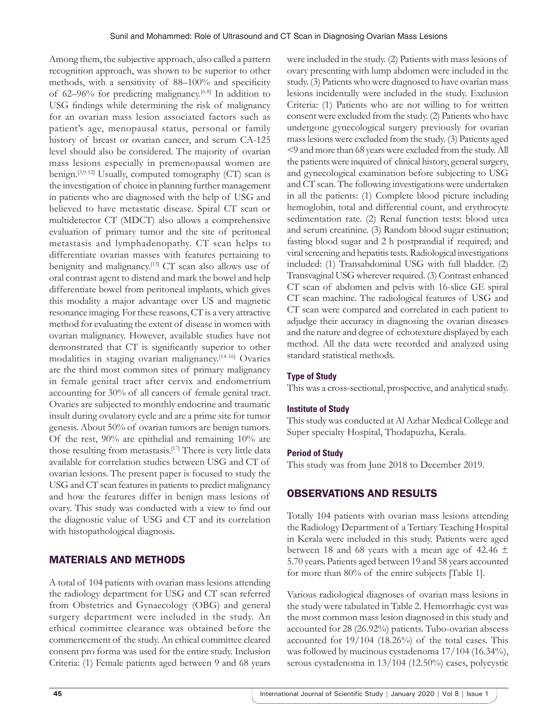Among them, the subjective approach, also called a pattern recognition approach, was shown to be superior to other methods, with a sensitivity of 88–100% and specificity of 62–96% for predicting malignancy.[6-8] In addition to USG findings while determining the risk of malignancy for an ovarian mass lesion associated factors such as patient's age, menopausal status, personal or family history of breast or ovarian cancer, and serum CA-125 level should also be considered. The majority of ovarian mass lesions especially in premenopausal women are benign.<sup>[3,9-12]</sup> Usually, computed tomography (CT) scan is the investigation of choice in planning further management in patients who are diagnosed with the help of USG and believed to have metastatic disease. Spiral CT scan or multidetector CT (MDCT) also allows a comprehensive evaluation of primary tumor and the site of peritoneal metastasis and lymphadenopathy. CT scan helps to differentiate ovarian masses with features pertaining to benignity and malignancy.<sup>[13]</sup> CT scan also allows use of oral contrast agent to distend and mark the bowel and help differentiate bowel from peritoneal implants, which gives this modality a major advantage over US and magnetic resonance imaging. For these reasons, CT is a very attractive method for evaluating the extent of disease in women with ovarian malignancy. However, available studies have not demonstrated that CT is significantly superior to other modalities in staging ovarian malignancy.[14-16] Ovaries are the third most common sites of primary malignancy in female genital tract after cervix and endometrium accounting for 30% of all cancers of female genital tract. Ovaries are subjected to monthly endocrine and traumatic insult during ovulatory cycle and are a prime site for tumor genesis. About 50% of ovarian tumors are benign tumors. Of the rest, 90% are epithelial and remaining 10% are those resulting from metastasis.[17] There is very little data available for correlation studies between USG and CT of ovarian lesions. The present paper is focused to study the USG and CT scan features in patients to predict malignancy and how the features differ in benign mass lesions of ovary. This study was conducted with a view to find out the diagnostic value of USG and CT and its correlation with histopathological diagnosis.

# MATERIALS AND METHODS

A total of 104 patients with ovarian mass lesions attending the radiology department for USG and CT scan referred from Obstetrics and Gynaecology (OBG) and general surgery department were included in the study. An ethical committee clearance was obtained before the commencement of the study. An ethical committee cleared consent pro forma was used for the entire study. Inclusion Criteria: (1) Female patients aged between 9 and 68 years

were included in the study. (2) Patients with mass lesions of ovary presenting with lump abdomen were included in the study. (3) Patients who were diagnosed to have ovarian mass lesions incidentally were included in the study. Exclusion Criteria: (1) Patients who are not willing to for written consent were excluded from the study. (2) Patients who have undergone gynecological surgery previously for ovarian mass lesions were excluded from the study. (3) Patients aged <9 and more than 68 years were excluded from the study. All the patients were inquired of clinical history, general surgery, and gynecological examination before subjecting to USG and CT scan. The following investigations were undertaken in all the patients: (1) Complete blood picture including hemoglobin, total and differential count, and erythrocyte sedimentation rate. (2) Renal function tests: blood urea and serum creatinine. (3) Random blood sugar estimation; fasting blood sugar and 2 h postprandial if required; and viral screening and hepatitis tests. Radiological investigations included: (1) Transabdominal USG with full bladder. (2) Transvaginal USG wherever required. (3) Contrast enhanced CT scan of abdomen and pelvis with 16-slice GE spiral CT scan machine. The radiological features of USG and CT scan were compared and correlated in each patient to adjudge their accuracy in diagnosing the ovarian diseases and the nature and degree of echotexture displayed by each method. All the data were recorded and analyzed using standard statistical methods.

## **Type of Study**

This was a cross-sectional, prospective, and analytical study.

## **Institute of Study**

This study was conducted at Al Azhar Medical College and Super specialty Hospital, Thodapuzha, Kerala.

## **Period of Study**

This study was from June 2018 to December 2019.

# OBSERVATIONS AND RESULTS

Totally 104 patients with ovarian mass lesions attending the Radiology Department of a Tertiary Teaching Hospital in Kerala were included in this study. Patients were aged between 18 and 68 years with a mean age of 42.46  $\pm$ 5.70 years. Patients aged between 19 and 58 years accounted for more than 80% of the entire subjects [Table 1].

Various radiological diagnoses of ovarian mass lesions in the study were tabulated in Table 2. Hemorrhagic cyst was the most common mass lesion diagnosed in this study and accounted for 28 (26.92%) patients. Tubo-ovarian abscess accounted for 19/104 (18.26%) of the total cases. This was followed by mucinous cystadenoma 17/104 (16.34%), serous cystadenoma in 13/104 (12.50%) cases, polycystic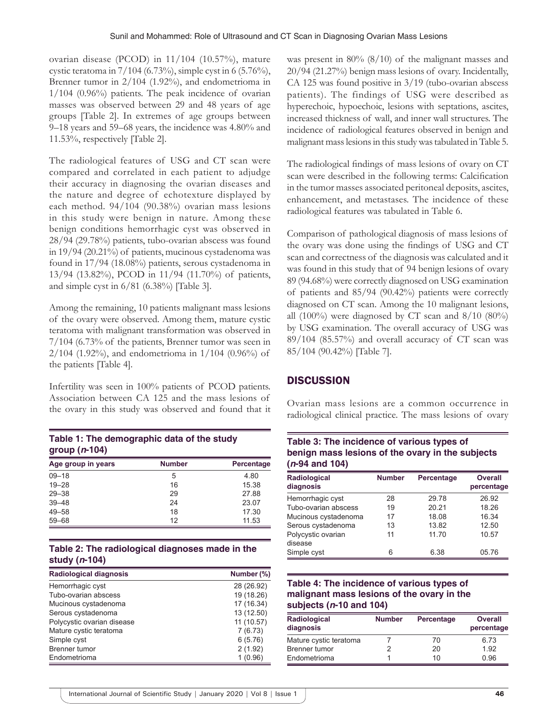ovarian disease (PCOD) in 11/104 (10.57%), mature cystic teratoma in 7/104 (6.73%), simple cyst in 6 (5.76%), Brenner tumor in 2/104 (1.92%), and endometrioma in 1/104 (0.96%) patients. The peak incidence of ovarian masses was observed between 29 and 48 years of age groups [Table 2]. In extremes of age groups between 9–18 years and 59–68 years, the incidence was 4.80% and 11.53%, respectively [Table 2].

The radiological features of USG and CT scan were compared and correlated in each patient to adjudge their accuracy in diagnosing the ovarian diseases and the nature and degree of echotexture displayed by each method. 94/104 (90.38%) ovarian mass lesions in this study were benign in nature. Among these benign conditions hemorrhagic cyst was observed in 28/94 (29.78%) patients, tubo-ovarian abscess was found in 19/94 (20.21%) of patients, mucinous cystadenoma was found in 17/94 (18.08%) patients, serous cystadenoma in 13/94 (13.82%), PCOD in 11/94 (11.70%) of patients, and simple cyst in 6/81 (6.38%) [Table 3].

Among the remaining, 10 patients malignant mass lesions of the ovary were observed. Among them, mature cystic teratoma with malignant transformation was observed in 7/104 (6.73% of the patients, Brenner tumor was seen in  $2/104$  (1.92%), and endometrioma in  $1/104$  (0.96%) of the patients [Table 4].

Infertility was seen in 100% patients of PCOD patients. Association between CA 125 and the mass lesions of the ovary in this study was observed and found that it

| Table 1: The demographic data of the study |  |
|--------------------------------------------|--|
| group $(n-104)$                            |  |

| Age group in years | <b>Number</b> | Percentage |
|--------------------|---------------|------------|
| $09 - 18$          | 5             | 4.80       |
| $19 - 28$          | 16            | 15.38      |
| $29 - 38$          | 29            | 27.88      |
| $39 - 48$          | 24            | 23.07      |
| $49 - 58$          | 18            | 17.30      |
| $59 - 68$          | 12            | 11.53      |

## **Table 2: The radiological diagnoses made in the study (***n***‑104)**

| Radiological diagnosis     | Number (%) |
|----------------------------|------------|
| Hemorrhagic cyst           | 28 (26.92) |
| Tubo-ovarian abscess       | 19 (18.26) |
| Mucinous cystadenoma       | 17 (16.34) |
| Serous cystadenoma         | 13 (12.50) |
| Polycystic ovarian disease | 11 (10.57) |
| Mature cystic teratoma     | 7(6.73)    |
| Simple cyst                | 6(5.76)    |
| <b>Brenner</b> tumor       | 2(1.92)    |
| Endometrioma               | 1(0.96)    |

was present in 80% (8/10) of the malignant masses and 20/94 (21.27%) benign mass lesions of ovary. Incidentally, CA 125 was found positive in 3/19 (tubo-ovarian abscess patients). The findings of USG were described as hyperechoic, hypoechoic, lesions with septations, ascites, increased thickness of wall, and inner wall structures. The incidence of radiological features observed in benign and malignant mass lesions in this study was tabulated in Table 5.

The radiological findings of mass lesions of ovary on CT scan were described in the following terms: Calcification in the tumor masses associated peritoneal deposits, ascites, enhancement, and metastases. The incidence of these radiological features was tabulated in Table 6.

Comparison of pathological diagnosis of mass lesions of the ovary was done using the findings of USG and CT scan and correctness of the diagnosis was calculated and it was found in this study that of 94 benign lesions of ovary 89 (94.68%) were correctly diagnosed on USG examination of patients and 85/94 (90.42%) patients were correctly diagnosed on CT scan. Among the 10 malignant lesions, all  $(100\%)$  were diagnosed by CT scan and  $8/10$   $(80\%)$ by USG examination. The overall accuracy of USG was 89/104 (85.57%) and overall accuracy of CT scan was 85/104 (90.42%) [Table 7].

## **DISCUSSION**

Ovarian mass lesions are a common occurrence in radiological clinical practice. The mass lesions of ovary

#### **Table 3: The incidence of various types of benign mass lesions of the ovary in the subjects (***n***‑94 and 104)**

| <b>Radiological</b><br>diagnosis | <b>Number</b> | Percentage | <b>Overall</b><br>percentage |
|----------------------------------|---------------|------------|------------------------------|
| Hemorrhagic cyst                 | 28            | 29.78      | 26.92                        |
| Tubo-ovarian abscess             | 19            | 20.21      | 18.26                        |
| Mucinous cystadenoma             | 17            | 18.08      | 16.34                        |
| Serous cystadenoma               | 13            | 13.82      | 12.50                        |
| Polycystic ovarian<br>disease    | 11            | 11.70      | 10.57                        |
| Simple cyst                      | 6             | 6.38       | 05.76                        |

## **Table 4: The incidence of various types of malignant mass lesions of the ovary in the subjects (***n***‑10 and 104)**

| Radiological<br>diagnosis | <b>Number</b> | Percentage | <b>Overall</b><br>percentage |  |
|---------------------------|---------------|------------|------------------------------|--|
| Mature cystic teratoma    |               | 70         | 6.73                         |  |
| Brenner tumor             |               | 20         | 1.92                         |  |
| Endometrioma              |               | 10         | 0.96                         |  |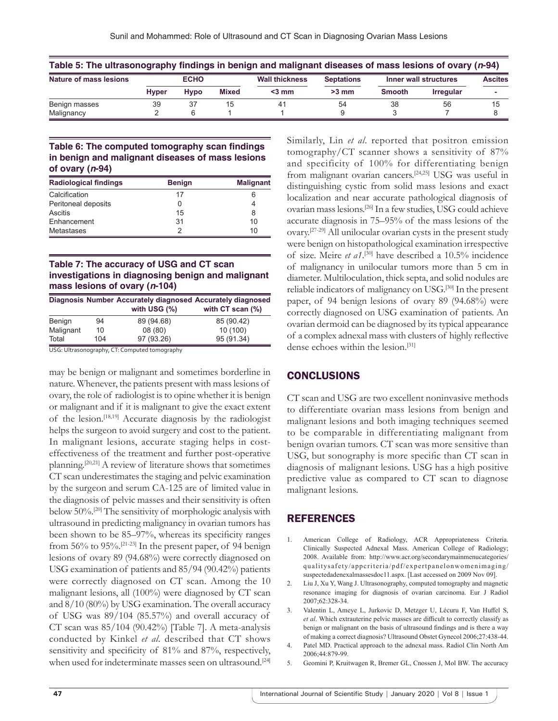| Table 5: The ultrasonography findings in benign and malignant diseases of mass lesions of ovary (n-94) |              |             |              |                       |                   |                       |                  |                |
|--------------------------------------------------------------------------------------------------------|--------------|-------------|--------------|-----------------------|-------------------|-----------------------|------------------|----------------|
| Nature of mass lesions                                                                                 | <b>ECHO</b>  |             |              | <b>Wall thickness</b> | <b>Septations</b> | Inner wall structures |                  | <b>Ascites</b> |
|                                                                                                        | <b>Hyper</b> | <b>Hypo</b> | <b>Mixed</b> | $3$ mm                | $>3$ mm           | <b>Smooth</b>         | <b>Irregular</b> |                |
| Benign masses                                                                                          | 39           |             | 15           | 41                    | 54                | 38                    | 56               | 15             |
| Malignancy                                                                                             |              |             |              |                       |                   |                       |                  |                |

#### **Table 6: The computed tomography scan findings in benign and malignant diseases of mass lesions of ovary (***n***‑94)**

| <b>Radiological findings</b> | <b>Benign</b> | <b>Malignant</b> |  |
|------------------------------|---------------|------------------|--|
| Calcification                | 17            |                  |  |
| Peritoneal deposits          | 0             |                  |  |
| Ascitis                      | 15            | 8                |  |
| Enhancement                  | 31            | 10               |  |
| Metastases                   | っ             | 10               |  |

#### **Table 7: The accuracy of USG and CT scan investigations in diagnosing benign and malignant mass lesions of ovary (***n***‑104)**

|           |     | Diagnosis Number Accurately diagnosed Accurately diagnosed<br>with USG $(\%)$ | with $CT$ scan $(\%)$ |
|-----------|-----|-------------------------------------------------------------------------------|-----------------------|
| Benign    | 94  | 89 (94.68)                                                                    | 85 (90.42)            |
| Malignant | 10  | 08(80)                                                                        | 10(100)               |
| Total     | 104 | 97 (93.26)                                                                    | 95 (91.34)            |

USG: Ultrasonography, CT: Computed tomography

may be benign or malignant and sometimes borderline in nature. Whenever, the patients present with mass lesions of ovary, the role of radiologist is to opine whether it is benign or malignant and if it is malignant to give the exact extent of the lesion.[18,19] Accurate diagnosis by the radiologist helps the surgeon to avoid surgery and cost to the patient. In malignant lesions, accurate staging helps in costeffectiveness of the treatment and further post-operative planning.[20,21] A review of literature shows that sometimes CT scan underestimates the staging and pelvic examination by the surgeon and serum CA-125 are of limited value in the diagnosis of pelvic masses and their sensitivity is often below 50%.[20] The sensitivity of morphologic analysis with ultrasound in predicting malignancy in ovarian tumors has been shown to be 85–97%, whereas its specificity ranges from 56% to 95%.[21-23] In the present paper, of 94 benign lesions of ovary 89 (94.68%) were correctly diagnosed on USG examination of patients and 85/94 (90.42%) patients were correctly diagnosed on CT scan. Among the 10 malignant lesions, all (100%) were diagnosed by CT scan and 8/10 (80%) by USG examination. The overall accuracy of USG was 89/104 (85.57%) and overall accuracy of CT scan was  $85/104$  (90.42%) [Table 7]. A meta-analysis conducted by Kinkel *et al*. described that CT shows sensitivity and specificity of 81% and 87%, respectively, when used for indeterminate masses seen on ultrasound.<sup>[24]</sup> Similarly, Lin *et al*. reported that positron emission tomography/CT scanner shows a sensitivity of 87% and specificity of 100% for differentiating benign from malignant ovarian cancers.[24,25] USG was useful in distinguishing cystic from solid mass lesions and exact localization and near accurate pathological diagnosis of ovarian mass lesions.[26] In a few studies, USG could achieve accurate diagnosis in 75–95% of the mass lesions of the ovary.[27-29] All unilocular ovarian cysts in the present study were benign on histopathological examination irrespective of size. Meire *et a1*.<sup>[30]</sup> have described a 10.5% incidence of malignancy in unilocular tumors more than 5 cm in diameter. Multiloculation, thick septa, and solid nodules are reliable indicators of malignancy on USG.[30] In the present paper, of 94 benign lesions of ovary 89 (94.68%) were correctly diagnosed on USG examination of patients. An ovarian dermoid can be diagnosed by its typical appearance of a complex adnexal mass with clusters of highly reflective dense echoes within the lesion.[31]

## CONCLUSIONS

CT scan and USG are two excellent noninvasive methods to differentiate ovarian mass lesions from benign and malignant lesions and both imaging techniques seemed to be comparable in differentiating malignant from benign ovarian tumors. CT scan was more sensitive than USG, but sonography is more specific than CT scan in diagnosis of malignant lesions. USG has a high positive predictive value as compared to CT scan to diagnose malignant lesions.

## REFERENCES

- 1. American College of Radiology, ACR Appropriateness Criteria. Clinically Suspected Adnexal Mass. American College of Radiology; 2008. Available from: http://www.acr.org/secondarymainmenucategories/ qualitysafety/appcriteria/pdf/expertpanelonwomenimaging/ suspectedadenexalmassesdoc11.aspx. [Last accessed on 2009 Nov 09].
- 2. Liu J, Xu Y, Wang J. Ultrasonography, computed tomography and magnetic resonance imaging for diagnosis of ovarian carcinoma. Eur J Radiol 2007;62:328-34.
- 3. Valentin L, Ameye L, Jurkovic D, Metzger U, Lécuru F, Van Huffel S, *et al*. Which extrauterine pelvic masses are difficult to correctly classify as benign or malignant on the basis of ultrasound findings and is there a way of making a correct diagnosis? Ultrasound Obstet Gynecol 2006;27:438-44.
- 4. Patel MD. Practical approach to the adnexal mass. Radiol Clin North Am 2006;44:879-99.
- 5. Geomini P, Kruitwagen R, Bremer GL, Cnossen J, Mol BW. The accuracy